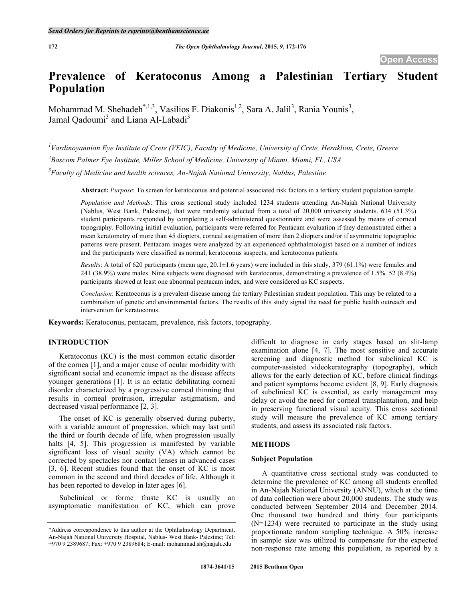# **Prevalence of Keratoconus Among a Palestinian Tertiary Student Population**

Mohammad M. Shehadeh<sup>\*,1,3</sup>, Vasilios F. Diakonis<sup>1,2</sup>, Sara A. Jalil<sup>3</sup>, Rania Younis<sup>3</sup>, Jamal Oadoumi<sup>3</sup> and Liana Al-Labadi<sup>3</sup>

*1 Vardinoyannion Eye Institute of Crete (VEIC), Faculty of Medicine, University of Crete, Heraklion, Crete, Greece 2 Bascom Palmer Eye Institute, Miller School of Medicine, University of Miami, Miami, FL, USA 3 Faculty of Medicine and health sciences, An-Najah National University, Nablus, Palestine*

**Abstract:** *Purpose*: To screen for keratoconus and potential associated risk factors in a tertiary student population sample.

*Population and Methods*: This cross sectional study included 1234 students attending An-Najah National University (Nablus, West Bank, Palestine), that were randomly selected from a total of 20,000 university students. 634 (51.3%) student participants responded by completing a self-administered questionnaire and were assessed by means of corneal topography. Following initial evaluation, participants were referred for Pentacam evaluation if they demonstrated either a mean keratometry of more than 45 diopters, corneal astigmatism of more than 2 diopters and/or if asymmetric topographic patterns were present. Pentacam images were analyzed by an experienced ophthalmologist based on a number of indices and the participants were classified as normal, keratoconus suspects, and keratoconus patients.

*Results*: A total of 620 participants (mean age, 20.1±1.6 years) were included in this study, 379 (61.1%) were females and 241 (38.9%) were males. Nine subjects were diagnosed with keratoconus, demonstrating a prevalence of 1.5%. 52 (8.4%) participants showed at least one abnormal pentacam index, and were considered as KC suspects.

*Conclusion*: Keratoconus is a prevalent disease among the tertiary Palestinian student population. This may be related to a combination of genetic and environmental factors. The results of this study signal the need for public health outreach and intervention for keratoconus.

**Keywords:** Keratoconus, pentacam, prevalence, risk factors, topography.

# **INTRODUCTION**

Keratoconus (KC) is the most common ectatic disorder of the cornea [1], and a major cause of ocular morbidity with significant social and economic impact as the disease affects younger generations [1]. It is an ectatic debilitating corneal disorder characterized by a progressive corneal thinning that results in corneal protrusion, irregular astigmatism, and decreased visual performance [2, 3].

The onset of KC is generally observed during puberty, with a variable amount of progression, which may last until the third or fourth decade of life, when progression usually halts [4, 5]. This progression is manifested by variable significant loss of visual acuity (VA) which cannot be corrected by spectacles nor contact lenses in advanced cases [3, 6]. Recent studies found that the onset of KC is most common in the second and third decades of life. Although it has been reported to develop in later ages [6].

Subclinical or forme fruste KC is usually an asymptomatic manifestation of KC, which can prove

difficult to diagnose in early stages based on slit-lamp examination alone [4, 7]. The most sensitive and accurate screening and diagnostic method for subclinical KC is computer-assisted videokeratography (topography), which allows for the early detection of KC, before clinical findings and patient symptoms become evident [8, 9]. Early diagnosis of subclinical KC is essential, as early management may delay or avoid the need for corneal transplantation, and help in preserving functional visual acuity. This cross sectional study will measure the prevalence of KC among tertiary students, and assess its associated risk factors.

#### **METHODS**

#### **Subject Population**

A quantitative cross sectional study was conducted to determine the prevalence of KC among all students enrolled in An-Najah National University (ANNU), which at the time of data collection were about 20,000 students. The study was conducted between September 2014 and December 2014. One thousand two hundred and thirty four participants (N=1234) were recruited to participate in the study using proportionate random sampling technique. A 50% increase in sample size was utilized to compensate for the expected non-response rate among this population, as reported by a

<sup>\*</sup>Address correspondence to this author at the Ophthalmology Department, An-Najah National University Hospital, Nablus- West Bank- Palestine; Tel: +970 9 2389687; Fax: +970 9 2389684; E-mail: mohammad.sh@najah.edu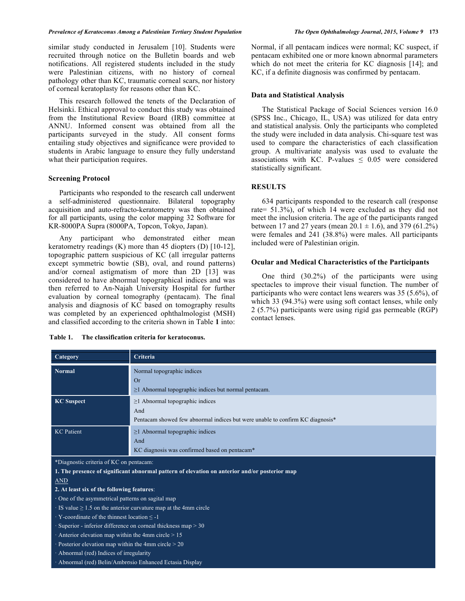similar study conducted in Jerusalem [10]. Students were recruited through notice on the Bulletin boards and web notifications. All registered students included in the study were Palestinian citizens, with no history of corneal pathology other than KC, traumatic corneal scars, nor history of corneal keratoplasty for reasons other than KC.

This research followed the tenets of the Declaration of Helsinki. Ethical approval to conduct this study was obtained from the Institutional Review Board (IRB) committee at ANNU. Informed consent was obtained from all the participants surveyed in the study. All consent forms entailing study objectives and significance were provided to students in Arabic language to ensure they fully understand what their participation requires.

#### **Screening Protocol**

Participants who responded to the research call underwent a self-administered questionnaire. Bilateral topography acquisition and auto-refracto-keratometry was then obtained for all participants, using the color mapping 32 Software for KR-8000PA Supra (8000PA, Topcon, Tokyo, Japan).

Any participant who demonstrated either mean keratometry readings (K) more than 45 diopters (D) [10-12], topographic pattern suspicious of KC (all irregular patterns except symmetric bowtie (SB), oval, and round patterns) and/or corneal astigmatism of more than 2D [13] was considered to have abnormal topographical indices and was then referred to An-Najah University Hospital for further evaluation by corneal tomography (pentacam). The final analysis and diagnosis of KC based on tomography results was completed by an experienced ophthalmologist (MSH) and classified according to the criteria shown in Table **1** into:

**Table 1. The classification criteria for keratoconus.**

Normal, if all pentacam indices were normal; KC suspect, if pentacam exhibited one or more known abnormal parameters which do not meet the criteria for KC diagnosis [14]; and KC, if a definite diagnosis was confirmed by pentacam.

### **Data and Statistical Analysis**

The Statistical Package of Social Sciences version 16.0 (SPSS Inc., Chicago, IL, USA) was utilized for data entry and statistical analysis. Only the participants who completed the study were included in data analysis. Chi-square test was used to compare the characteristics of each classification group. A multivariate analysis was used to evaluate the associations with KC. P-values  $\leq 0.05$  were considered statistically significant.

#### **RESULTS**

634 participants responded to the research call (response rate= 51.3%), of which 14 were excluded as they did not meet the inclusion criteria. The age of the participants ranged between 17 and 27 years (mean  $20.1 \pm 1.6$ ), and 379 (61.2%) were females and 241 (38.8%) were males. All participants included were of Palestinian origin.

#### **Ocular and Medical Characteristics of the Participants**

One third (30.2%) of the participants were using spectacles to improve their visual function. The number of participants who were contact lens wearers was 35 (5.6%), of which 33 (94.3%) were using soft contact lenses, while only 2 (5.7%) participants were using rigid gas permeable (RGP) contact lenses.

| Category                                                                                                                 | Criteria                                                                                                                      |  |
|--------------------------------------------------------------------------------------------------------------------------|-------------------------------------------------------------------------------------------------------------------------------|--|
| <b>Normal</b>                                                                                                            | Normal topographic indices<br><b>Or</b><br>$\geq$ 1 Abnormal topographic indices but normal pentacam.                         |  |
| <b>KC</b> Suspect                                                                                                        | $\geq$ 1 Abnormal topographic indices<br>And<br>Pentacam showed few abnormal indices but were unable to confirm KC diagnosis* |  |
| <b>KC</b> Patient                                                                                                        | $\geq$ 1 Abnormal topographic indices<br>And<br>KC diagnosis was confirmed based on pentacam*                                 |  |
| *Diagnostic criteria of KC on pentacam:                                                                                  |                                                                                                                               |  |
| 1. The presence of significant abnormal pattern of elevation on anterior and/or posterior map                            |                                                                                                                               |  |
| <b>AND</b>                                                                                                               |                                                                                                                               |  |
| 2. At least six of the following features:                                                                               |                                                                                                                               |  |
| · One of the asymmetrical patterns on sagital map                                                                        |                                                                                                                               |  |
| $\cdot$ IS value $\geq$ 1.5 on the anterior curvature map at the 4mm circle                                              |                                                                                                                               |  |
| $\cdot$ Y-coordinate of the thinnest location $\le$ -1<br>Superior - inferior difference on corneal thickness map $> 30$ |                                                                                                                               |  |
| Anterior elevation map within the 4mm circle $> 15$                                                                      |                                                                                                                               |  |
| $\cdot$ Posterior elevation map within the 4mm circle $>$ 20                                                             |                                                                                                                               |  |
| · Abnormal (red) Indices of irregularity                                                                                 |                                                                                                                               |  |
| · Abnormal (red) Belin/Ambrosio Enhanced Ectasia Display                                                                 |                                                                                                                               |  |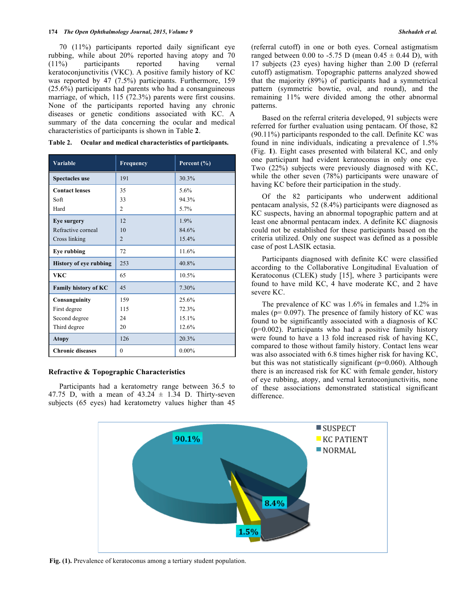70 (11%) participants reported daily significant eye rubbing, while about 20% reported having atopy and 70 (11%) participants reported having vernal keratoconjunctivitis (VKC). A positive family history of KC was reported by 47 (7.5%) participants. Furthermore, 159 (25.6%) participants had parents who had a consanguineous marriage, of which, 115 (72.3%) parents were first cousins. None of the participants reported having any chronic diseases or genetic conditions associated with KC. A summary of the data concerning the ocular and medical characteristics of participants is shown in Table **2**.

| Variable                      | Frequency      | Percent (%) |
|-------------------------------|----------------|-------------|
| <b>Spectacles</b> use         | 191            | 30.3%       |
| <b>Contact lenses</b>         | 35             | 5.6%        |
| Soft                          | 33             | 94.3%       |
| Hard                          | $\overline{c}$ | 5.7%        |
| Eye surgery                   | 12             | 1.9%        |
| Refractive corneal            | 10             | 84.6%       |
| Cross linking                 | $\overline{2}$ | 15.4%       |
| <b>Eye rubbing</b>            | 72             | 11.6%       |
| <b>History of eye rubbing</b> | 253            | 40.8%       |
| <b>VKC</b>                    | 65             | 10.5%       |
| Family history of KC          | 45             | 7.30%       |
| Consanguinity                 | 159            | 25.6%       |
| First degree                  | 115            | 72.3%       |
| Second degree                 | 24             | 15.1%       |
| Third degree                  | 20             | 12.6%       |
| <b>Atopy</b>                  | 126            | 20.3%       |
| <b>Chronic diseases</b>       | $\theta$       | $0.00\%$    |

**Table 2. Ocular and medical characteristics of participants.** 

# **Refractive & Topographic Characteristics**

Participants had a keratometry range between 36.5 to 47.75 D, with a mean of  $43.24 \pm 1.34$  D. Thirty-seven subjects (65 eyes) had keratometry values higher than 45 (referral cutoff) in one or both eyes. Corneal astigmatism ranged between 0.00 to -5.75 D (mean  $0.45 \pm 0.44$  D), with 17 subjects (23 eyes) having higher than 2.00 D (referral cutoff) astigmatism. Topographic patterns analyzed showed that the majority (89%) of participants had a symmetrical pattern (symmetric bowtie, oval, and round), and the remaining 11% were divided among the other abnormal patterns.

Based on the referral criteria developed, 91 subjects were referred for further evaluation using pentacam. Of those, 82 (90.11%) participants responded to the call. Definite KC was found in nine individuals, indicating a prevalence of 1.5% (Fig. **1**). Eight cases presented with bilateral KC, and only one participant had evident keratoconus in only one eye. Two (22%) subjects were previously diagnosed with KC, while the other seven (78%) participants were unaware of having KC before their participation in the study.

Of the 82 participants who underwent additional pentacam analysis, 52 (8.4%) participants were diagnosed as KC suspects, having an abnormal topographic pattern and at least one abnormal pentacam index. A definite KC diagnosis could not be established for these participants based on the criteria utilized. Only one suspect was defined as a possible case of post LASIK ectasia.

Participants diagnosed with definite KC were classified according to the Collaborative Longitudinal Evaluation of Keratoconus (CLEK) study [15], where 3 participants were found to have mild KC, 4 have moderate KC, and 2 have severe KC.

The prevalence of KC was 1.6% in females and 1.2% in males ( $p = 0.097$ ). The presence of family history of KC was found to be significantly associated with a diagnosis of KC (p=0.002). Participants who had a positive family history were found to have a 13 fold increased risk of having KC, compared to those without family history. Contact lens wear was also associated with 6.8 times higher risk for having KC, but this was not statistically significant (p=0.060). Although there is an increased risk for KC with female gender, history of eye rubbing, atopy, and vernal keratoconjunctivitis, none of these associations demonstrated statistical significant difference.



**Fig. (1).** Prevalence of keratoconus among a tertiary student population.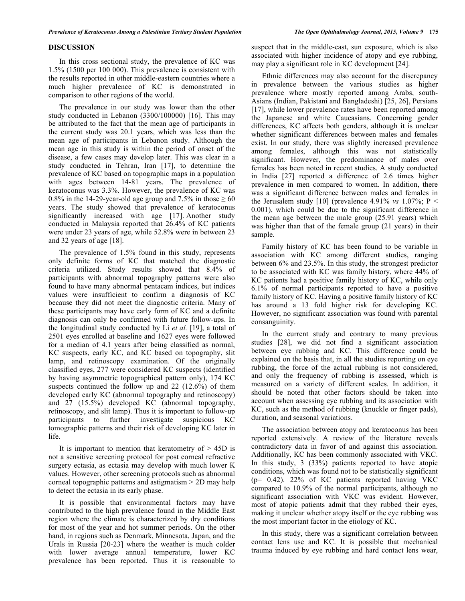## **DISCUSSION**

In this cross sectional study, the prevalence of KC was 1.5% (1500 per 100 000). This prevalence is consistent with the results reported in other middle-eastern countries where a much higher prevalence of KC is demonstrated in comparison to other regions of the world.

The prevalence in our study was lower than the other study conducted in Lebanon (3300/100000) [16]. This may be attributed to the fact that the mean age of participants in the current study was 20.1 years, which was less than the mean age of participants in Lebanon study. Although the mean age in this study is within the period of onset of the disease, a few cases may develop later. This was clear in a study conducted in Tehran, Iran [17], to determine the prevalence of KC based on topographic maps in a population with ages between 14-81 years. The prevalence of keratoconus was 3.3%. However, the prevalence of KC was 0.8% in the 14-29-year-old age group and 7.5% in those  $\geq 60$ years. The study showed that prevalence of keratoconus significantly increased with age [17]. Another study conducted in Malaysia reported that 26.4% of KC patients were under 23 years of age, while 52.8% were in between 23 and 32 years of age [18].

The prevalence of 1.5% found in this study, represents only definite forms of KC that matched the diagnostic criteria utilized. Study results showed that 8.4% of participants with abnormal topography patterns were also found to have many abnormal pentacam indices, but indices values were insufficient to confirm a diagnosis of KC because they did not meet the diagnostic criteria. Many of these participants may have early form of KC and a definite diagnosis can only be confirmed with future follow-ups. In the longitudinal study conducted by Li *et al.* [19], a total of 2501 eyes enrolled at baseline and 1627 eyes were followed for a median of 4.1 years after being classified as normal, KC suspects, early KC, and KC based on topography, slit lamp, and retinoscopy examination. Of the originally classified eyes, 277 were considered KC suspects (identified by having asymmetric topographical pattern only), 174 KC suspects continued the follow up and 22 (12.6%) of them developed early KC (abnormal topography and retinoscopy) and 27 (15.5%) developed KC (abnormal topography, retinoscopy, and slit lamp). Thus it is important to follow-up participants to further investigate suspicious KC tomographic patterns and their risk of developing KC later in life.

It is important to mention that keratometry of > 45D is not a sensitive screening protocol for post corneal refractive surgery ectasia, as ectasia may develop with much lower K values. However, other screening protocols such as abnormal corneal topographic patterns and astigmatism > 2D may help to detect the ectasia in its early phase.

It is possible that environmental factors may have contributed to the high prevalence found in the Middle East region where the climate is characterized by dry conditions for most of the year and hot summer periods. On the other hand, in regions such as Denmark, Minnesota, Japan, and the Urals in Russia [20-23] where the weather is much colder with lower average annual temperature, lower KC prevalence has been reported. Thus it is reasonable to

suspect that in the middle-east, sun exposure, which is also associated with higher incidence of atopy and eye rubbing, may play a significant role in KC development [24].

Ethnic differences may also account for the discrepancy in prevalence between the various studies as higher prevalence where mostly reported among Arabs, south-Asians (Indian, Pakistani and Bangladeshi) [25, 26], Persians [17], while lower prevalence rates have been reported among the Japanese and white Caucasians. Concerning gender differences, KC affects both genders, although it is unclear whether significant differences between males and females exist. In our study, there was slightly increased prevalence among females, although this was not statistically significant. However, the predominance of males over females has been noted in recent studies. A study conducted in India [27] reported a difference of 2.6 times higher prevalence in men compared to women. In addition, there was a significant difference between males and females in the Jerusalem study [10] (prevalence  $4.91\%$  *vs*  $1.07\%$ ; P < 0.001), which could be due to the significant difference in the mean age between the male group (25.91 years) which was higher than that of the female group (21 years) in their sample.

Family history of KC has been found to be variable in association with KC among different studies, ranging between 6% and 23.5%. In this study, the strongest predictor to be associated with KC was family history, where 44% of KC patients had a positive family history of KC, while only 6.1% of normal participants reported to have a positive family history of KC. Having a positive family history of KC has around a 13 fold higher risk for developing KC. However, no significant association was found with parental consanguinity.

In the current study and contrary to many previous studies [28], we did not find a significant association between eye rubbing and KC. This difference could be explained on the basis that, in all the studies reporting on eye rubbing, the force of the actual rubbing is not considered, and only the frequency of rubbing is assessed, which is measured on a variety of different scales. In addition, it should be noted that other factors should be taken into account when assessing eye rubbing and its association with KC, such as the method of rubbing (knuckle or finger pads), duration, and seasonal variations.

The association between atopy and keratoconus has been reported extensively. A review of the literature reveals contradictory data in favor of and against this association. Additionally, KC has been commonly associated with VKC. In this study, 3 (33%) patients reported to have atopic conditions, which was found not to be statistically significant (p= 0.42). 22% of KC patients reported having VKC compared to 10.9% of the normal participants, although no significant association with VKC was evident. However, most of atopic patients admit that they rubbed their eyes, making it unclear whether atopy itself or the eye rubbing was the most important factor in the etiology of KC.

In this study, there was a significant correlation between contact lens use and KC. It is possible that mechanical trauma induced by eye rubbing and hard contact lens wear,